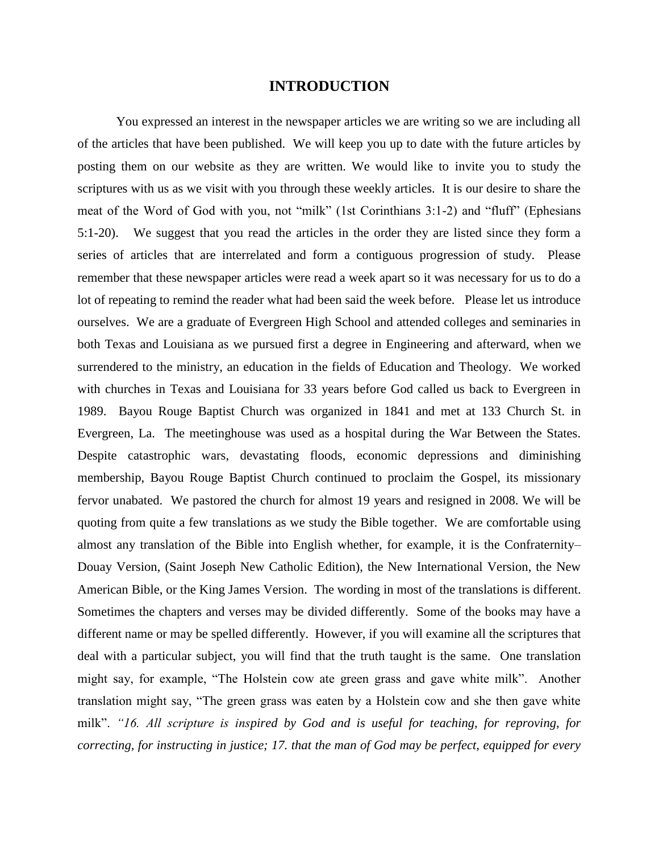## **INTRODUCTION**

You expressed an interest in the newspaper articles we are writing so we are including all of the articles that have been published. We will keep you up to date with the future articles by posting them on our website as they are written. We would like to invite you to study the scriptures with us as we visit with you through these weekly articles. It is our desire to share the meat of the Word of God with you, not "milk" (1st Corinthians 3:1-2) and "fluff" (Ephesians 5:1-20). We suggest that you read the articles in the order they are listed since they form a series of articles that are interrelated and form a contiguous progression of study. Please remember that these newspaper articles were read a week apart so it was necessary for us to do a lot of repeating to remind the reader what had been said the week before. Please let us introduce ourselves. We are a graduate of Evergreen High School and attended colleges and seminaries in both Texas and Louisiana as we pursued first a degree in Engineering and afterward, when we surrendered to the ministry, an education in the fields of Education and Theology. We worked with churches in Texas and Louisiana for 33 years before God called us back to Evergreen in 1989. Bayou Rouge Baptist Church was organized in 1841 and met at 133 Church St. in Evergreen, La. The meetinghouse was used as a hospital during the War Between the States. Despite catastrophic wars, devastating floods, economic depressions and diminishing membership, Bayou Rouge Baptist Church continued to proclaim the Gospel, its missionary fervor unabated. We pastored the church for almost 19 years and resigned in 2008. We will be quoting from quite a few translations as we study the Bible together. We are comfortable using almost any translation of the Bible into English whether, for example, it is the Confraternity– Douay Version, (Saint Joseph New Catholic Edition), the New International Version, the New American Bible, or the King James Version. The wording in most of the translations is different. Sometimes the chapters and verses may be divided differently. Some of the books may have a different name or may be spelled differently. However, if you will examine all the scriptures that deal with a particular subject, you will find that the truth taught is the same. One translation might say, for example, "The Holstein cow ate green grass and gave white milk". Another translation might say, "The green grass was eaten by a Holstein cow and she then gave white milk". "16. All scripture is inspired by God and is useful for teaching, for reproving, for *correcting, for instructing in justice; 17. that the man of God may be perfect, equipped for every*